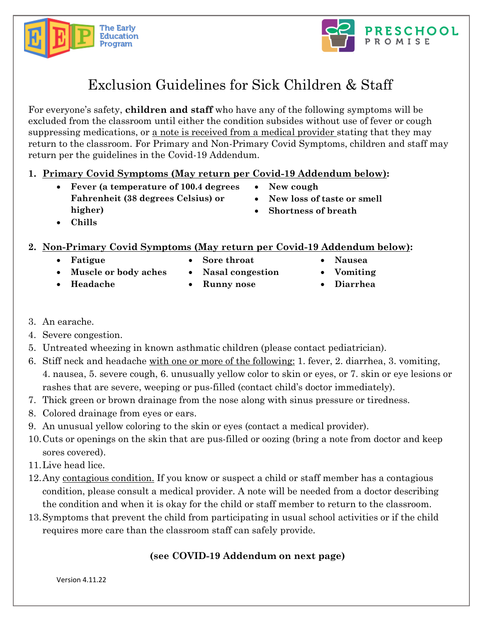



# Exclusion Guidelines for Sick Children & Staff

For everyone's safety, **children and staff** who have any of the following symptoms will be excluded from the classroom until either the condition subsides without use of fever or cough suppressing medications, or a note is received from a medical provider stating that they may return to the classroom. For Primary and Non-Primary Covid Symptoms, children and staff may return per the guidelines in the Covid-19 Addendum.

- **1. Primary Covid Symptoms (May return per Covid-19 Addendum below):** 
	- **Fever (a temperature of 100.4 degrees Fahrenheit (38 degrees Celsius) or higher)**
- **New cough**
- **New loss of taste or smell**
- **Shortness of breath**

• **Chills**

#### **2. Non-Primary Covid Symptoms (May return per Covid-19 Addendum below):**

• **Fatigue**

• **Headache**

• **Sore throat**

• **Runny nose**

• **Nasal congestion**

- **Nausea**
- **Vomiting**
- **Diarrhea**

- 3. An earache.
- 4. Severe congestion.
- 5. Untreated wheezing in known asthmatic children (please contact pediatrician).
- 6. Stiff neck and headache with one or more of the following: 1. fever, 2. diarrhea, 3. vomiting, 4. nausea, 5. severe cough, 6. unusually yellow color to skin or eyes, or 7. skin or eye lesions or rashes that are severe, weeping or pus-filled (contact child's doctor immediately).
- 7. Thick green or brown drainage from the nose along with sinus pressure or tiredness.
- 8. Colored drainage from eyes or ears.

• **Muscle or body aches**

- 9. An unusual yellow coloring to the skin or eyes (contact a medical provider).
- 10.Cuts or openings on the skin that are pus-filled or oozing (bring a note from doctor and keep sores covered).
- 11.Live head lice.
- 12.Any contagious condition. If you know or suspect a child or staff member has a contagious condition, please consult a medical provider. A note will be needed from a doctor describing the condition and when it is okay for the child or staff member to return to the classroom.
- 13.Symptoms that prevent the child from participating in usual school activities or if the child requires more care than the classroom staff can safely provide.

### **(see COVID-19 Addendum on next page)**

Version 4.11.22

- -